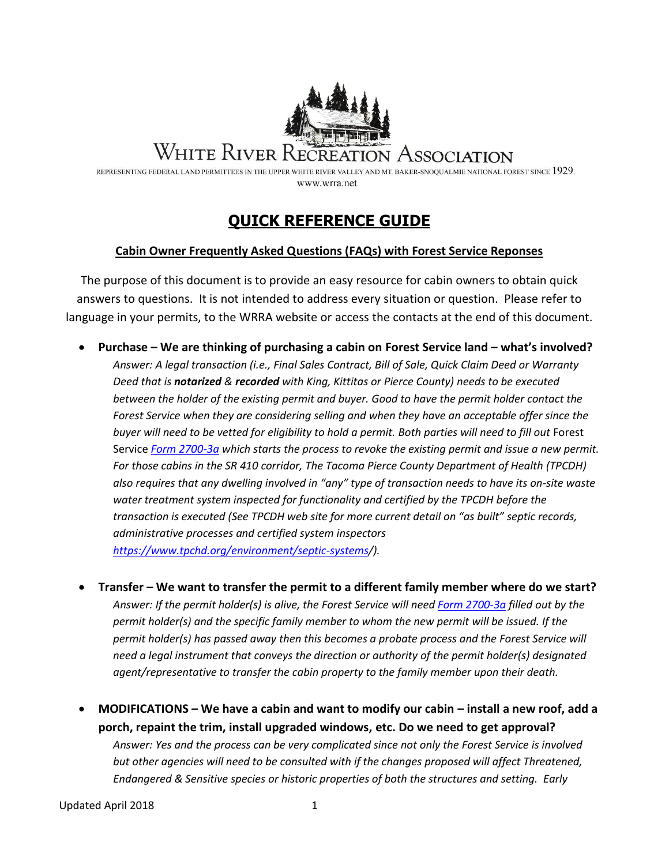

# WHITE RIVER RECREATION ASSOCIATION

REPRESENTING FEDERAL LAND PERMITTEES IN THE UPPER WHITE RIVER VALLEY AND MT. BAKER-SNOOUALMIE NATIONAL FOREST SINCE 1929. www.wrra.net

# **QUICK REFERENCE GUIDE**

#### **Cabin Owner Frequently Asked Questions (FAQs) with Forest Service Reponses**

The purpose of this document is to provide an easy resource for cabin owners to obtain quick answers to questions. It is not intended to address every situation or question. Please refer to language in your permits, to the WRRA website or access the contacts at the end of this document.

- **Purchase – We are thinking of purchasing a cabin on Forest Service land – what's involved?** *Answer: A legal transaction (i.e., Final Sales Contract, Bill of Sale, Quick Claim Deed or Warranty Deed that is notarized & recorded with King, Kittitas or Pierce County) needs to be executed between the holder of the existing permit and buyer. Good to have the permit holder contact the Forest Service when they are considering selling and when they have an acceptable offer since the*  buyer will need to be vetted for eligibility to hold a permit. Both parties will need to fill out Forest Service *[Form 2700-3a](http://www.fs.fed.us/r2/recreation/special-use/forms/new-forms/fs-2700-3a.pdf) which starts the process to revoke the existing permit and issue a new permit. For those cabins in the SR 410 corridor, The Tacoma Pierce County Department of Health (TPCDH) also requires that any dwelling involved in "any" type of transaction needs to have its on-site waste water treatment system inspected for functionality and certified by the TPCDH before the transaction is executed (See TPCDH web site for more current detail on "as built" septic records, administrative processes and certified system inspectors [https://www.tpchd.org/environment/septic-systems/](https://www.tpchd.org/environment/septic-systems)).*
- **Transfer – We want to transfer the permit to a different family member where do we start?** *Answer: If the permit holder(s) is alive, the Forest Service will nee[d Form 2700-3a](http://www.fs.fed.us/r2/recreation/special-use/forms/new-forms/fs-2700-3a.pdf) filled out by the permit holder(s) and the specific family member to whom the new permit will be issued. If the permit holder(s) has passed away then this becomes a probate process and the Forest Service will need a legal instrument that conveys the direction or authority of the permit holder(s) designated agent/representative to transfer the cabin property to the family member upon their death.*
- **MODIFICATIONS – We have a cabin and want to modify our cabin – install a new roof, add a porch, repaint the trim, install upgraded windows, etc. Do we need to get approval?** *Answer: Yes and the process can be very complicated since not only the Forest Service is involved but other agencies will need to be consulted with if the changes proposed will affect Threatened, Endangered & Sensitive species or historic properties of both the structures and setting. Early*

Updated April 2018 1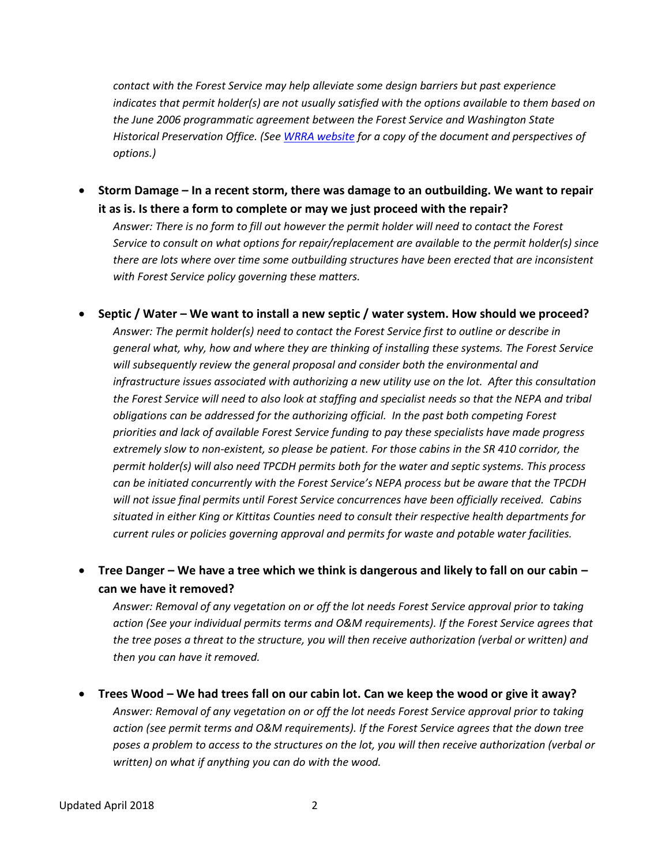*contact with the Forest Service may help alleviate some design barriers but past experience indicates that permit holder(s) are not usually satisfied with the options available to them based on the June 2006 programmatic agreement between the Forest Service and Washington State Historical Preservation Office. (Se[e WRRA website](http://wrra.net/index.php?option=com_content&view=article&id=7&Itemid=9) for a copy of the document and perspectives of options.)*

 **Storm Damage – In a recent storm, there was damage to an outbuilding. We want to repair it as is. Is there a form to complete or may we just proceed with the repair?**

*Answer: There is no form to fill out however the permit holder will need to contact the Forest Service to consult on what options for repair/replacement are available to the permit holder(s) since there are lots where over time some outbuilding structures have been erected that are inconsistent with Forest Service policy governing these matters.* 

- **Septic / Water – We want to install a new septic / water system. How should we proceed?** *Answer: The permit holder(s) need to contact the Forest Service first to outline or describe in general what, why, how and where they are thinking of installing these systems. The Forest Service will subsequently review the general proposal and consider both the environmental and infrastructure issues associated with authorizing a new utility use on the lot. After this consultation the Forest Service will need to also look at staffing and specialist needs so that the NEPA and tribal obligations can be addressed for the authorizing official. In the past both competing Forest priorities and lack of available Forest Service funding to pay these specialists have made progress extremely slow to non-existent, so please be patient. For those cabins in the SR 410 corridor, the permit holder(s) will also need TPCDH permits both for the water and septic systems. This process can be initiated concurrently with the Forest Service's NEPA process but be aware that the TPCDH will not issue final permits until Forest Service concurrences have been officially received. Cabins situated in either King or Kittitas Counties need to consult their respective health departments for current rules or policies governing approval and permits for waste and potable water facilities.*
- **Tree Danger – We have a tree which we think is dangerous and likely to fall on our cabin – can we have it removed?**

*Answer: Removal of any vegetation on or off the lot needs Forest Service approval prior to taking action (See your individual permits terms and O&M requirements). If the Forest Service agrees that the tree poses a threat to the structure, you will then receive authorization (verbal or written) and then you can have it removed.*

 **Trees Wood – We had trees fall on our cabin lot. Can we keep the wood or give it away?** *Answer: Removal of any vegetation on or off the lot needs Forest Service approval prior to taking action (see permit terms and O&M requirements). If the Forest Service agrees that the down tree poses a problem to access to the structures on the lot, you will then receive authorization (verbal or written) on what if anything you can do with the wood.*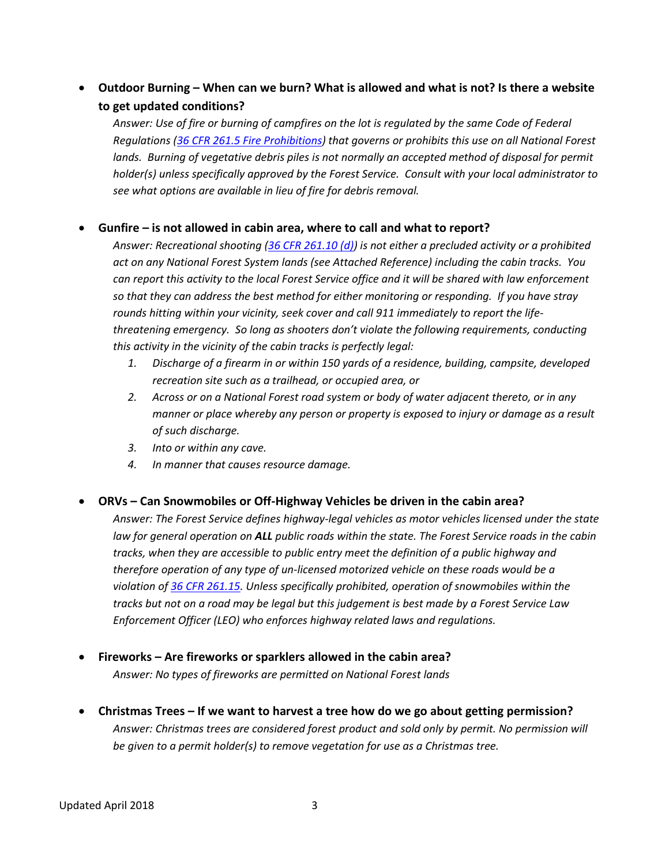# **Outdoor Burning – When can we burn? What is allowed and what is not? Is there a website to get updated conditions?**

*Answer: Use of fire or burning of campfires on the lot is regulated by the same Code of Federal Regulations [\(36 CFR 261.5 Fire Prohibitions\)](https://www.law.cornell.edu/cfr/text/36/261.5) that governs or prohibits this use on all National Forest*  lands. Burning of vegetative debris piles is not normally an accepted method of disposal for permit *holder(s) unless specifically approved by the Forest Service. Consult with your local administrator to see what options are available in lieu of fire for debris removal.*

#### **Gunfire – is not allowed in cabin area, where to call and what to report?**

*Answer: Recreational shooting [\(36 CFR 261.10 \(d\)\)](https://www.law.cornell.edu/cfr/text/36/261.10) is not either a precluded activity or a prohibited act on any National Forest System lands (see Attached Reference) including the cabin tracks. You can report this activity to the local Forest Service office and it will be shared with law enforcement so that they can address the best method for either monitoring or responding. If you have stray rounds hitting within your vicinity, seek cover and call 911 immediately to report the lifethreatening emergency. So long as shooters don't violate the following requirements, conducting this activity in the vicinity of the cabin tracks is perfectly legal:*

- *1. Discharge of a firearm in or within 150 yards of a residence, building, campsite, developed recreation site such as a trailhead, or occupied area, or*
- *2. Across or on a National Forest road system or body of water adjacent thereto, or in any manner or place whereby any person or property is exposed to injury or damage as a result of such discharge.*
- *3. Into or within any cave.*
- *4. In manner that causes resource damage.*

#### **ORVs – Can Snowmobiles or Off-Highway Vehicles be driven in the cabin area?**

*Answer: The Forest Service defines highway-legal vehicles as motor vehicles licensed under the state law for general operation on ALL public roads within the state. The Forest Service roads in the cabin tracks, when they are accessible to public entry meet the definition of a public highway and therefore operation of any type of un-licensed motorized vehicle on these roads would be a violation of [36 CFR 261.15.](https://www.law.cornell.edu/cfr/text/36/261.15) Unless specifically prohibited, operation of snowmobiles within the tracks but not on a road may be legal but this judgement is best made by a Forest Service Law Enforcement Officer (LEO) who enforces highway related laws and regulations.*

- **Fireworks – Are fireworks or sparklers allowed in the cabin area?** *Answer: No types of fireworks are permitted on National Forest lands*
- **Christmas Trees – If we want to harvest a tree how do we go about getting permission?** *Answer: Christmas trees are considered forest product and sold only by permit. No permission will be given to a permit holder(s) to remove vegetation for use as a Christmas tree.*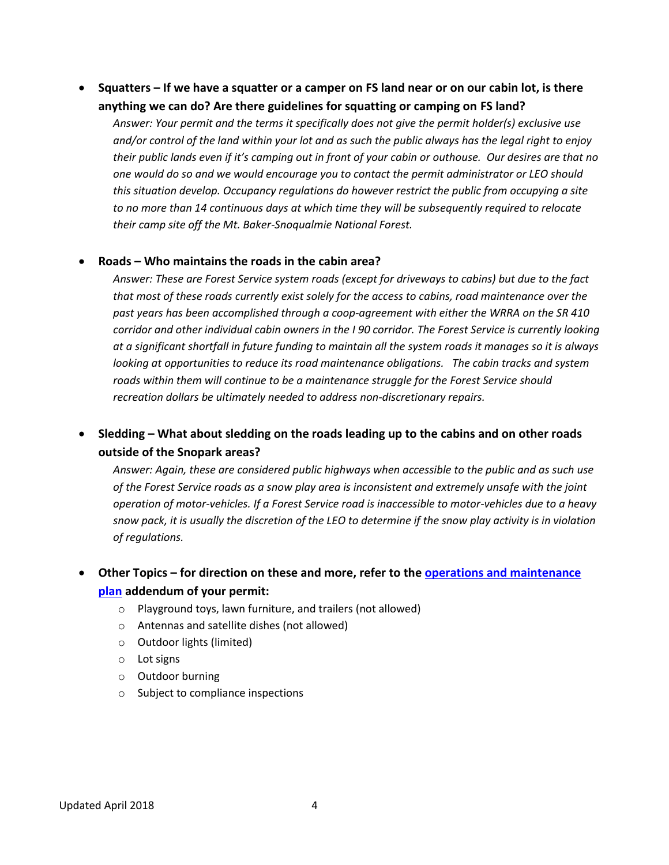**Squatters – If we have a squatter or a camper on FS land near or on our cabin lot, is there anything we can do? Are there guidelines for squatting or camping on FS land?**

*Answer: Your permit and the terms it specifically does not give the permit holder(s) exclusive use and/or control of the land within your lot and as such the public always has the legal right to enjoy their public lands even if it's camping out in front of your cabin or outhouse. Our desires are that no one would do so and we would encourage you to contact the permit administrator or LEO should this situation develop. Occupancy regulations do however restrict the public from occupying a site to no more than 14 continuous days at which time they will be subsequently required to relocate their camp site off the Mt. Baker-Snoqualmie National Forest.* 

#### **Roads – Who maintains the roads in the cabin area?**

*Answer: These are Forest Service system roads (except for driveways to cabins) but due to the fact that most of these roads currently exist solely for the access to cabins, road maintenance over the past years has been accomplished through a coop-agreement with either the WRRA on the SR 410 corridor and other individual cabin owners in the I 90 corridor. The Forest Service is currently looking at a significant shortfall in future funding to maintain all the system roads it manages so it is always looking at opportunities to reduce its road maintenance obligations. The cabin tracks and system roads within them will continue to be a maintenance struggle for the Forest Service should recreation dollars be ultimately needed to address non-discretionary repairs.* 

### **Sledding – What about sledding on the roads leading up to the cabins and on other roads outside of the Snopark areas?**

*Answer: Again, these are considered public highways when accessible to the public and as such use of the Forest Service roads as a snow play area is inconsistent and extremely unsafe with the joint operation of motor-vehicles. If a Forest Service road is inaccessible to motor-vehicles due to a heavy snow pack, it is usually the discretion of the LEO to determine if the snow play activity is in violation of regulations.*

# **Other Topics – for direction on these and more, refer to the [operations and maintenance](https://6e22110f-46fb-4d70-8215-590ae4f6abd6.usrfiles.com/ugd/6e2211_01638da179284eeb862b6fbc67fd9c16.pdf)  [plan](https://6e22110f-46fb-4d70-8215-590ae4f6abd6.usrfiles.com/ugd/6e2211_01638da179284eeb862b6fbc67fd9c16.pdf) addendum of your permit:**

- o Playground toys, lawn furniture, and trailers (not allowed)
- o Antennas and satellite dishes (not allowed)
- o Outdoor lights (limited)
- o Lot signs
- o Outdoor burning
- o Subject to compliance inspections